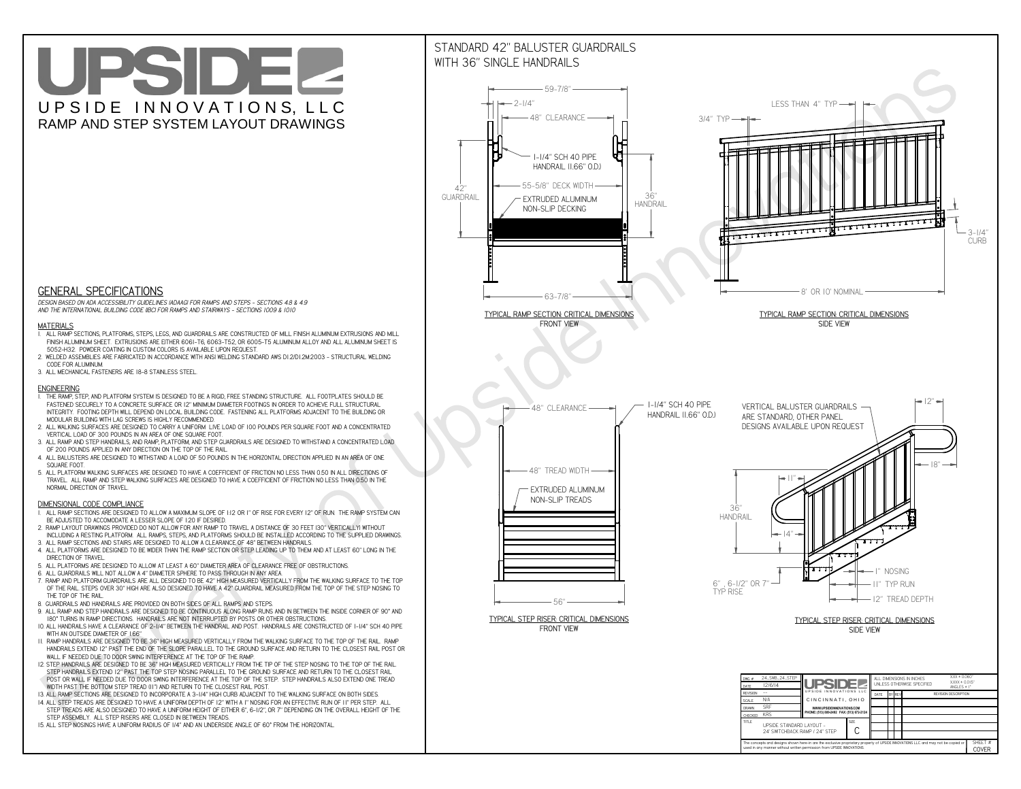# UPSIDEL UPSIDE INNOVATIONS, LLC RAMP AND STEP SYSTEM LAYOUT DRAWINGS



 *DESIGN BASED ON ADA ACCESSIBILITY GUIDELINES (ADAAG) FOR RAMPS AND STEPS - SECTIONS 4.8 & 4.9AND THE INTERNATIONAL BUILDING CODE (IBC) FOR RAMPS AND STAIRWAYS - SECTIONS 1009 & 1010*

#### **MATERIALS**

- **1. ALL RAMP SECTIONS, PLATFORMS, STEPS, LEGS, AND GUARDRAILS ARE CONSTRUCTED OF MILL FINISH ALUMINUM EXTRUSIONS AND MILL FINISH ALUMINUM SHEET. EXTRUSIONS ARE EITHER 6061-T6, 6063-T52, OR 6005-T5 ALUMINUM ALLOY AND ALL ALUMINUM SHEET IS 5052-H32. POWDER COATING IN CUSTOM COLORS IS AVAILABLE UPON REQUEST.**
- **2. WELDED ASSEMBLIES ARE FABRICATED IN ACCORDANCE WITH ANSI WELDING STANDARD AWS D1.2/D1.2M:2003 STRUCTURAL WELDING CODE FOR ALUMINUM.**
- **3. ALL MECHANICAL FASTENERS ARE 18-8 STAINLESS STEEL.**

#### **ENGINEERING**

- **1. THE RAMP, STEP, AND PLATFORM SYSTEM IS DESIGNED TO BE A RIGID, FREE STANDING STRUCTURE. ALL FOOTPLATES SHOULD BE FASTENED SECURELY TO A CONCRETE SURFACE OR 12" MINIMUM DIAMETER FOOTINGS IN ORDER TO ACHIEVE FULL STRUCTURAL INTEGRITY. FOOTING DEPTH WILL DEPEND ON LOCAL BUILDING CODE. FASTENING ALL PLATFORMS ADJACENT TO THE BUILDING OR MODULAR BUILDING WITH LAG SCREWS IS HIGHLY RECOMMENDED.**
- **2. ALL WALKING SURFACES ARE DESIGNED TO CARRY A UNIFORM LIVE LOAD OF 100 POUNDS PER SQUARE FOOT AND A CONCENTRATED VERTICAL LOAD OF 300 POUNDS IN AN AREA OF ONE SQUARE FOOT.**
- **3. ALL RAMP AND STEP HANDRAILS, AND RAMP, PLATFORM, AND STEP GUARDRAILS ARE DESIGNED TO WITHSTAND A CONCENTRATED LOAD OF 200 POUNDS APPLIED IN ANY DIRECTION ON THE TOP OF THE RAIL.**
- **4. ALL BALUSTERS ARE DESIGNED TO WITHSTAND A LOAD OF 50 POUNDS IN THE HORIZONTAL DIRECTION APPLIED IN AN AREA OF ONE SQUARE FOOT.**
- **5. ALL PLATFORM WALKING SURFACES ARE DESIGNED TO HAVE A COEFFICIENT OF FRICTION NO LESS THAN 0.50 IN ALL DIRECTIONS OF TRAVEL. ALL RAMP AND STEP WALKING SURFACES ARE DESIGNED TO HAVE A COEFFICIENT OF FRICTION NO LESS THAN 0.50 IN THE NORMAL DIRECTION OF TRAVEL.**

### **DIMENSIONAL CODE COMPLIANCE**



- **1. ALL RAMP SECTIONS ARE DESIGNED TO ALLOW A MAXIMUM SLOPE OF 1:12 OR 1" OF RISE FOR EVERY 12" OF RUN. THE RAMP SYSTEM CAN BE ADJUSTED TO ACCOMODATE A LESSER SLOPE OF 1:20 IF DESIRED.**
- **2. RAMP LAYOUT DRAWINGS PROVIDED DO NOT ALLOW FOR ANY RAMP TO TRAVEL A DISTANCE OF 30 FEET (30" VERTICALLY) WITHOUT INCLUDING A RESTING PLATFORM. ALL RAMPS, STEPS, AND PLATFORMS SHOULD BE INSTALLED ACCORDING TO THE SUPPLIED DRAWINGS.**
- **3. ALL RAMP SECTIONS AND STAIRS ARE DESIGNED TO ALLOW A CLEARANCE OF 48" BETWEEN HANDRAILS.**
- **4. ALL PLATFORMS ARE DESIGNED TO BE WIDER THAN THE RAMP SECTION OR STEP LEADING UP TO THEM AND AT LEAST 60" LONG IN THE DIRECTION OF TRAVEL.**
- **5. ALL PLATFORMS ARE DESIGNED TO ALLOW AT LEAST A 60" DIAMETER AREA OF CLEARANCE FREE OF OBSTRUCTIONS.**
- **6. ALL GUARDRAILS WILL NOT ALLOW A 4" DIAMETER SPHERE TO PASS THROUGH IN ANY AREA.**
- **7. RAMP AND PLATFORM GUARDRAILS ARE ALL DESIGNED TO BE 42" HIGH MEASURED VERTICALLY FROM THE WALKING SURFACE TO THE TOP OF THE RAIL. STEPS OVER 30" HIGH ARE ALSO DESIGNED TO HAVE A 42" GUARDRAIL MEASURED FROM THE TOP OF THE STEP NOSING TO THE TOP OF THE RAIL.**
- **8. GUARDRAILS AND HANDRAILS ARE PROVIDED ON BOTH SIDES OF ALL RAMPS AND STEPS.**
- **9. ALL RAMP AND STEP HANDRAILS ARE DESIGNED TO BE CONTINUOUS ALONG RAMP RUNS AND IN BETWEEN THE INSIDE CORNER OF 90° AND 180° TURNS IN RAMP DIRECTIONS. HANDRAILS ARE NOT INTERRUPTED BY POSTS OR OTHER OBSTRUCTIONS.**
- **10. ALL HANDRAILS HAVE A CLEARANCE OF 2-1/4" BETWEEN THE HANDRAIL AND POST. HANDRAILS ARE CONSTRUCTED OF 1-1/4" SCH 40 PIPE WITH AN OUTSIDE DIAMETER OF 1.66"**
- **11. RAMP HANDRAILS ARE DESIGNED TO BE 36" HIGH MEASURED VERTICALLY FROM THE WALKING SURFACE TO THE TOP OF THE RAIL. RAMP HANDRAILS EXTEND 12" PAST THE END OF THE SLOPE PARALLEL TO THE GROUND SURFACE AND RETURN TO THE CLOSEST RAIL POST OR WALL IF NEEDED DUE TO DOOR SWING INTERFERENCE AT THE TOP OF THE RAMP.**
- **12. STEP HANDRAILS ARE DESIGNED TO BE 36" HIGH MEASURED VERTICALLY FROM THE TIP OF THE STEP NOSING TO THE TOP OF THE RAIL. STEP HANDRAILS EXTEND 12" PAST THE TOP STEP NOSING PARALLEL TO THE GROUND SURFACE AND RETURN TO THE CLOSEST RAIL POST OR WALL IF NEEDED DUE TO DOOR SWING INTERFERENCE AT THE TOP OF THE STEP. STEP HANDRAILS ALSO EXTEND ONE TREAD**
- **WIDTH PAST THE BOTTOM STEP TREAD (11") AND RETURN TO THE CLOSEST RAIL POST.**
- **13. ALL RAMP SECTIONS ARE DESIGNED TO INCORPORATE A 3-1/4" HIGH CURB ADJACENT TO THE WALKING SURFACE ON BOTH SIDES.**
- **14. ALL STEP TREADS ARE DESIGNED TO HAVE A UNIFORM DEPTH OF 12" WITH A 1" NOSING FOR AN EFFECTIVE RUN OF 11" PER STEP. ALL STEP TREADS ARE ALSO DESIGNED TO HAVE A UNIFORM HEIGHT OF EITHER 6", 6-1/2", OR 7" DEPENDING ON THE OVERALL HEIGHT OF THE STEP ASSEMBLY. ALL STEP RISERS ARE CLOSED IN BETWEEN TREADS.**
- **15. ALL STEP NOSINGS HAVE A UNIFORM RADIUS OF 1/4" AND AN UNDERSIDE ANGLE OF 60° FROM THE HORIZONTAL.**

## STANDARD 42" BALUSTER GUARDRAILSWITH 36" SINGLE HANDRAILS